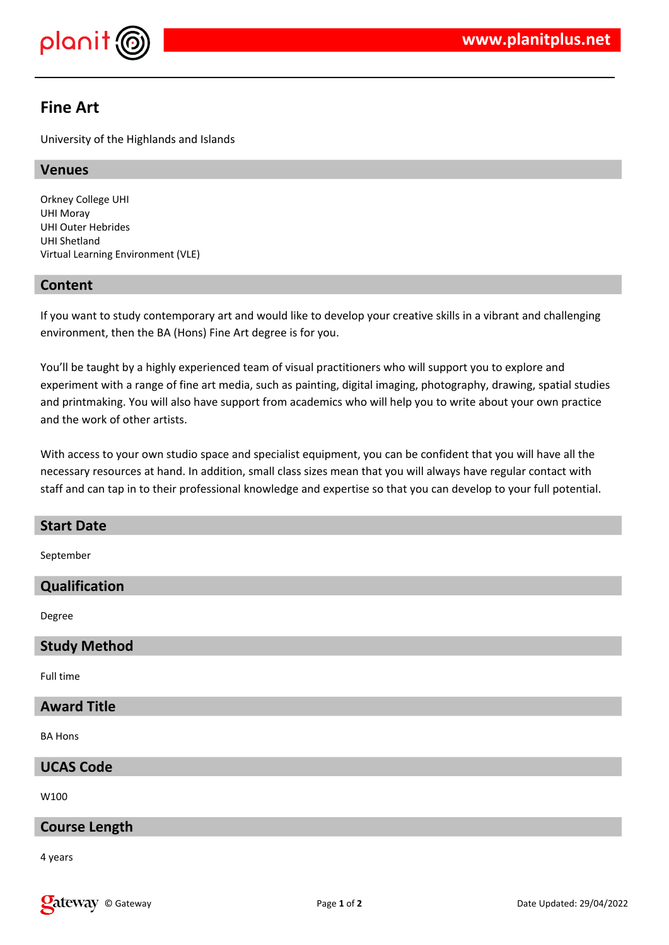

# **Fine Art**

University of the Highlands and Islands

#### **Venues**

Orkney College UHI UHI Moray UHI Outer Hebrides UHI Shetland Virtual Learning Environment (VLE)

#### **Content**

If you want to study contemporary art and would like to develop your creative skills in a vibrant and challenging environment, then the BA (Hons) Fine Art degree is for you.

You'll be taught by a highly experienced team of visual practitioners who will support you to explore and experiment with a range of fine art media, such as painting, digital imaging, photography, drawing, spatial studies and printmaking. You will also have support from academics who will help you to write about your own practice and the work of other artists.

With access to your own studio space and specialist equipment, you can be confident that you will have all the necessary resources at hand. In addition, small class sizes mean that you will always have regular contact with staff and can tap in to their professional knowledge and expertise so that you can develop to your full potential.

# **Start Date** September **Qualification** Degree **Study Method** Full time **Award Title** BA Hons **UCAS Code** W100 **Course Length**

4 years